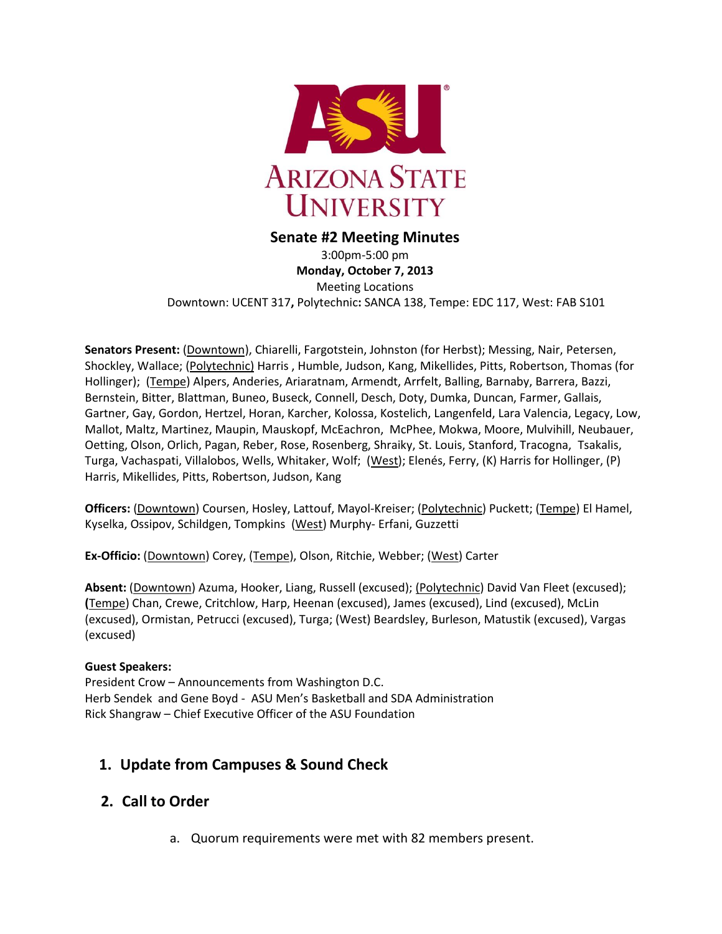

#### **Senate #2 Meeting Minutes**

3:00pm-5:00 pm **Monday, October 7, 2013** Meeting Locations Downtown: UCENT 317**,** Polytechnic**:** SANCA 138, Tempe: EDC 117, West: FAB S101

**Senators Present:** (Downtown), Chiarelli, Fargotstein, Johnston (for Herbst); Messing, Nair, Petersen, Shockley, Wallace; (Polytechnic) Harris , Humble, Judson, Kang, Mikellides, Pitts, Robertson, Thomas (for Hollinger); (Tempe) Alpers, Anderies, Ariaratnam, Armendt, Arrfelt, Balling, Barnaby, Barrera, Bazzi, Bernstein, Bitter, Blattman, Buneo, Buseck, Connell, Desch, Doty, Dumka, Duncan, Farmer, Gallais, Gartner, Gay, Gordon, Hertzel, Horan, Karcher, Kolossa, Kostelich, Langenfeld, Lara Valencia, Legacy, Low, Mallot, Maltz, Martinez, Maupin, Mauskopf, McEachron, McPhee, Mokwa, Moore, Mulvihill, Neubauer, Oetting, Olson, Orlich, Pagan, Reber, Rose, Rosenberg, Shraiky, St. Louis, Stanford, Tracogna, Tsakalis, Turga, Vachaspati, Villalobos, Wells, Whitaker, Wolf; (West); Elenés, Ferry, (K) Harris for Hollinger, (P) Harris, Mikellides, Pitts, Robertson, Judson, Kang

**Officers:** (Downtown) Coursen, Hosley, Lattouf, Mayol-Kreiser; (Polytechnic) Puckett; (Tempe) El Hamel, Kyselka, Ossipov, Schildgen, Tompkins (West) Murphy- Erfani, Guzzetti

**Ex-Officio:** (Downtown) Corey, (Tempe), Olson, Ritchie, Webber; (West) Carter

**Absent:** (Downtown) Azuma, Hooker, Liang, Russell (excused); (Polytechnic) David Van Fleet (excused); **(**Tempe) Chan, Crewe, Critchlow, Harp, Heenan (excused), James (excused), Lind (excused), McLin (excused), Ormistan, Petrucci (excused), Turga; (West) Beardsley, Burleson, Matustik (excused), Vargas (excused)

#### **Guest Speakers:**

President Crow – Announcements from Washington D.C. Herb Sendek and Gene Boyd - ASU Men's Basketball and SDA Administration Rick Shangraw – Chief Executive Officer of the ASU Foundation

# **1. Update from Campuses & Sound Check**

### **2. Call to Order**

a. Quorum requirements were met with 82 members present.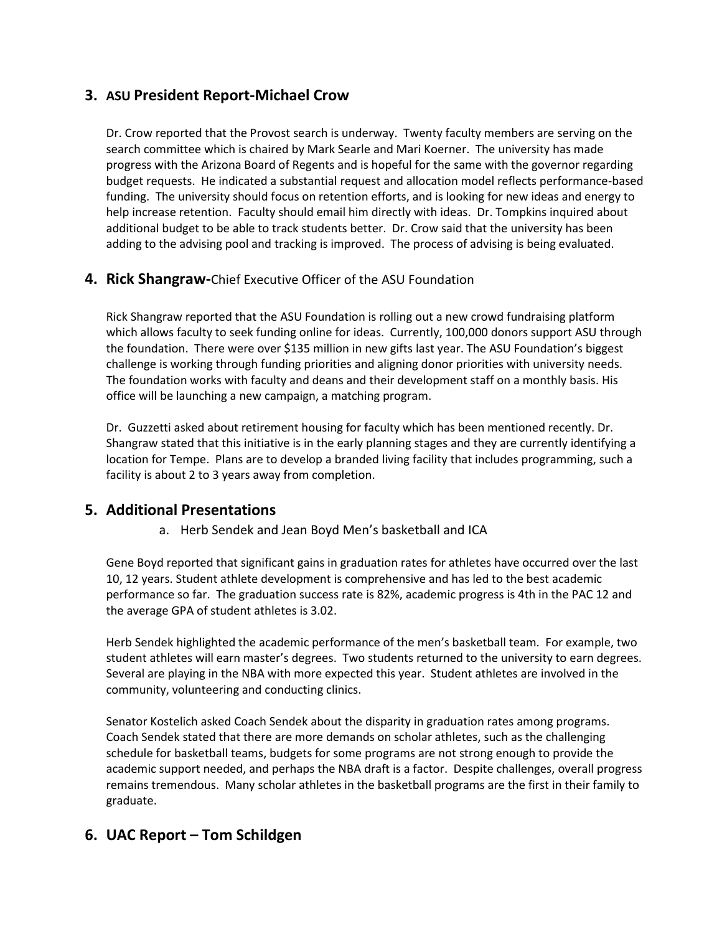# **3. ASU President Report-Michael Crow**

Dr. Crow reported that the Provost search is underway. Twenty faculty members are serving on the search committee which is chaired by Mark Searle and Mari Koerner. The university has made progress with the Arizona Board of Regents and is hopeful for the same with the governor regarding budget requests. He indicated a substantial request and allocation model reflects performance-based funding. The university should focus on retention efforts, and is looking for new ideas and energy to help increase retention. Faculty should email him directly with ideas. Dr. Tompkins inquired about additional budget to be able to track students better. Dr. Crow said that the university has been adding to the advising pool and tracking is improved. The process of advising is being evaluated.

# **4. Rick Shangraw-**Chief Executive Officer of the ASU Foundation

Rick Shangraw reported that the ASU Foundation is rolling out a new crowd fundraising platform which allows faculty to seek funding online for ideas. Currently, 100,000 donors support ASU through the foundation. There were over \$135 million in new gifts last year. The ASU Foundation's biggest challenge is working through funding priorities and aligning donor priorities with university needs. The foundation works with faculty and deans and their development staff on a monthly basis. His office will be launching a new campaign, a matching program.

Dr. Guzzetti asked about retirement housing for faculty which has been mentioned recently. Dr. Shangraw stated that this initiative is in the early planning stages and they are currently identifying a location for Tempe. Plans are to develop a branded living facility that includes programming, such a facility is about 2 to 3 years away from completion.

# **5. Additional Presentations**

### a. Herb Sendek and Jean Boyd Men's basketball and ICA

Gene Boyd reported that significant gains in graduation rates for athletes have occurred over the last 10, 12 years. Student athlete development is comprehensive and has led to the best academic performance so far. The graduation success rate is 82%, academic progress is 4th in the PAC 12 and the average GPA of student athletes is 3.02.

Herb Sendek highlighted the academic performance of the men's basketball team. For example, two student athletes will earn master's degrees. Two students returned to the university to earn degrees. Several are playing in the NBA with more expected this year. Student athletes are involved in the community, volunteering and conducting clinics.

Senator Kostelich asked Coach Sendek about the disparity in graduation rates among programs. Coach Sendek stated that there are more demands on scholar athletes, such as the challenging schedule for basketball teams, budgets for some programs are not strong enough to provide the academic support needed, and perhaps the NBA draft is a factor. Despite challenges, overall progress remains tremendous. Many scholar athletes in the basketball programs are the first in their family to graduate.

# **6. UAC Report – Tom Schildgen**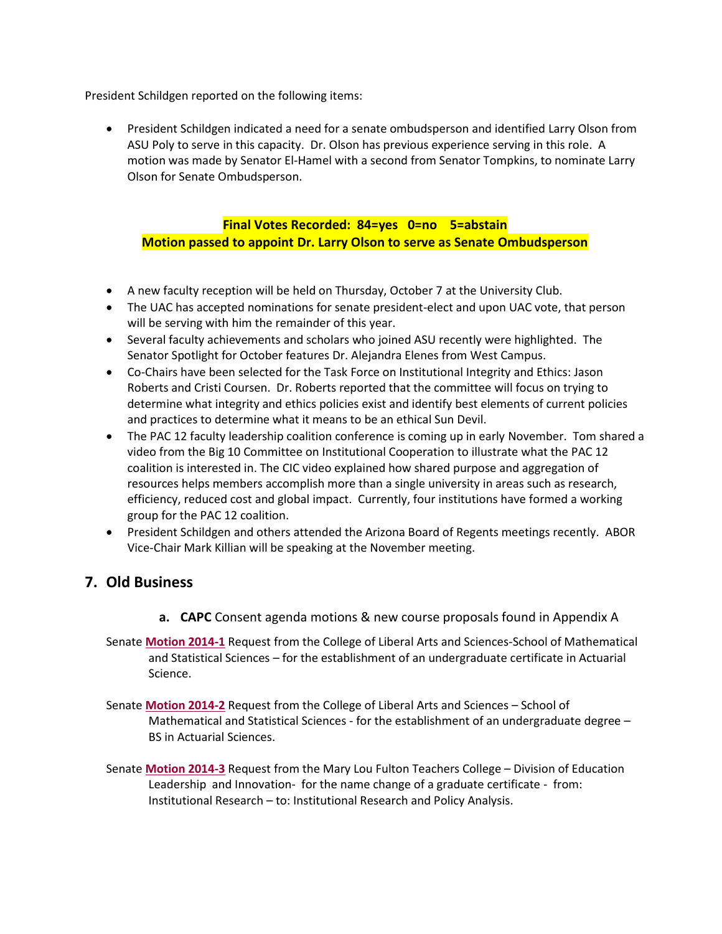President Schildgen reported on the following items:

 President Schildgen indicated a need for a senate ombudsperson and identified Larry Olson from ASU Poly to serve in this capacity. Dr. Olson has previous experience serving in this role. A motion was made by Senator El-Hamel with a second from Senator Tompkins, to nominate Larry Olson for Senate Ombudsperson.

### **Final Votes Recorded: 84=yes 0=no 5=abstain Motion passed to appoint Dr. Larry Olson to serve as Senate Ombudsperson**

- A new faculty reception will be held on Thursday, October 7 at the University Club.
- The UAC has accepted nominations for senate president-elect and upon UAC vote, that person will be serving with him the remainder of this year.
- Several faculty achievements and scholars who joined ASU recently were highlighted. The Senator Spotlight for October features Dr. Alejandra Elenes from West Campus.
- Co-Chairs have been selected for the Task Force on Institutional Integrity and Ethics: Jason Roberts and Cristi Coursen. Dr. Roberts reported that the committee will focus on trying to determine what integrity and ethics policies exist and identify best elements of current policies and practices to determine what it means to be an ethical Sun Devil.
- The PAC 12 faculty leadership coalition conference is coming up in early November. Tom shared a video from the Big 10 Committee on Institutional Cooperation to illustrate what the PAC 12 coalition is interested in. The CIC video explained how shared purpose and aggregation of resources helps members accomplish more than a single university in areas such as research, efficiency, reduced cost and global impact. Currently, four institutions have formed a working group for the PAC 12 coalition.
- President Schildgen and others attended the Arizona Board of Regents meetings recently. ABOR Vice-Chair Mark Killian will be speaking at the November meeting.

# **7. Old Business**

- **a. CAPC** Consent agenda motions & new course proposals found in Appendix A
- Senate **[Motion 2014-1](http://usenate.asu.edu/node/4734)** Request from the College of Liberal Arts and Sciences-School of Mathematical and Statistical Sciences – for the establishment of an undergraduate certificate in Actuarial Science.
- Senate **[Motion 2014-2](http://usenate.asu.edu/node/4735)** Request from the College of Liberal Arts and Sciences School of Mathematical and Statistical Sciences - for the establishment of an undergraduate degree – BS in Actuarial Sciences.
- Senate **[Motion 2014-3](http://usenate.asu.edu/node/4736)** Request from the Mary Lou Fulton Teachers College Division of Education Leadership and Innovation- for the name change of a graduate certificate - from: Institutional Research – to: Institutional Research and Policy Analysis.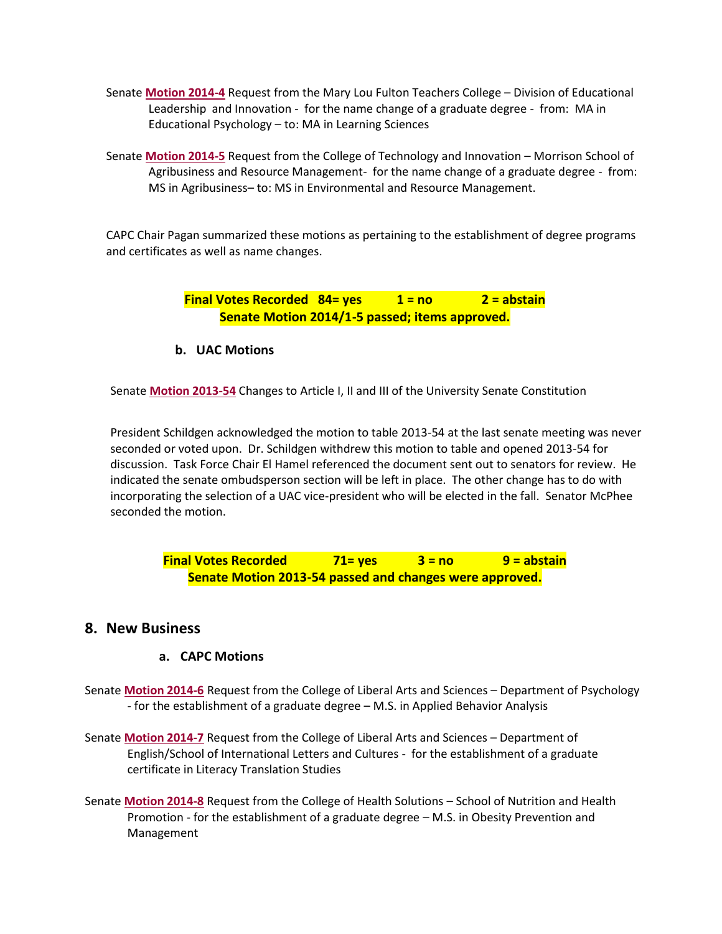- Senate **[Motion 2014-4](http://usenate.asu.edu/node/4737)** Request from the Mary Lou Fulton Teachers College Division of Educational Leadership and Innovation - for the name change of a graduate degree - from: MA in Educational Psychology – to: MA in Learning Sciences
- Senate **[Motion 2014-5](http://usenate.asu.edu/node/4738)** Request from the College of Technology and Innovation Morrison School of Agribusiness and Resource Management- for the name change of a graduate degree - from: MS in Agribusiness– to: MS in Environmental and Resource Management.

CAPC Chair Pagan summarized these motions as pertaining to the establishment of degree programs and certificates as well as name changes.

> **Final Votes Recorded 84= yes 1 = no 2 = abstain Senate Motion 2014/1-5 passed; items approved.**

**b. UAC Motions** 

Senate **[Motion 2013-54](http://usenate.asu.edu/node/4532)** Changes to Article I, II and III of the University Senate Constitution

President Schildgen acknowledged the motion to table 2013-54 at the last senate meeting was never seconded or voted upon. Dr. Schildgen withdrew this motion to table and opened 2013-54 for discussion. Task Force Chair El Hamel referenced the document sent out to senators for review. He indicated the senate ombudsperson section will be left in place. The other change has to do with incorporating the selection of a UAC vice-president who will be elected in the fall. Senator McPhee seconded the motion.

**Final Votes Recorded 71= yes 3 = no 9 = abstain Senate Motion 2013-54 passed and changes were approved.**

### **8. New Business**

#### **a. CAPC Motions**

- Senate **[Motion 2014-6](http://usenate.asu.edu/node/4778)** Request from the College of Liberal Arts and Sciences Department of Psychology - for the establishment of a graduate degree – M.S. in Applied Behavior Analysis
- Senate **[Motion 2014-7](http://usenate.asu.edu/node/4779)** Request from the College of Liberal Arts and Sciences Department of English/School of International Letters and Cultures - for the establishment of a graduate certificate in Literacy Translation Studies
- Senate **[Motion 2014-8](http://usenate.asu.edu/node/4780)** Request from the College of Health Solutions School of Nutrition and Health Promotion - for the establishment of a graduate degree – M.S. in Obesity Prevention and Management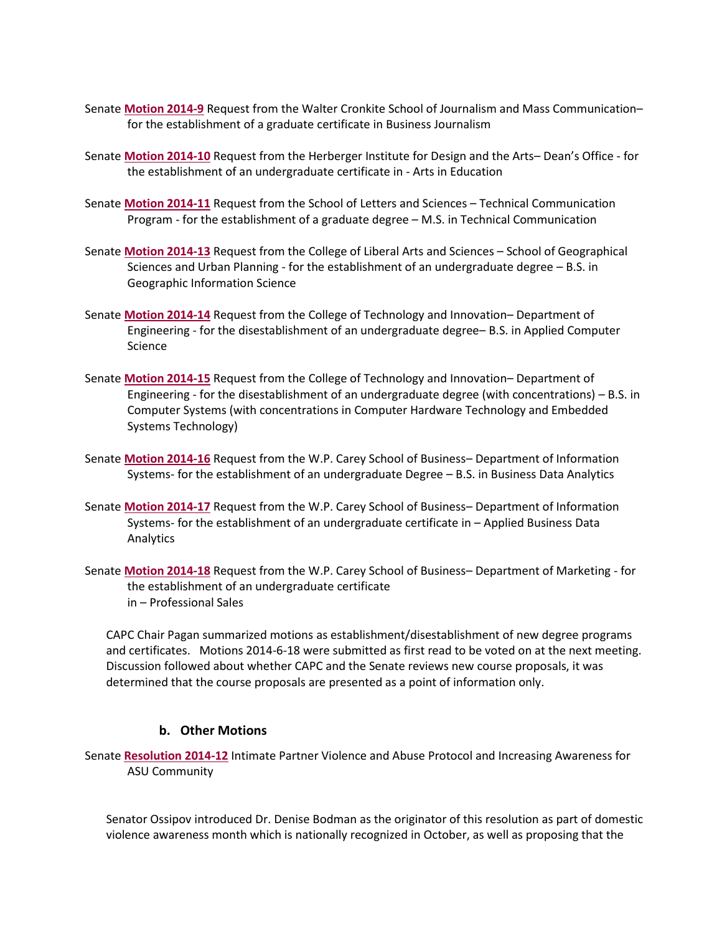- Senate **[Motion 2014-9](http://usenate.asu.edu/node/4781)** Request from the Walter Cronkite School of Journalism and Mass Communication– for the establishment of a graduate certificate in Business Journalism
- Senate **[Motion 2014-10](http://usenate.asu.edu/node/4783)** Request from the Herberger Institute for Design and the Arts– Dean's Office for the establishment of an undergraduate certificate in - Arts in Education
- Senate **[Motion 2014-11](http://usenate.asu.edu/node/4784)** Request from the School of Letters and Sciences Technical Communication Program - for the establishment of a graduate degree – M.S. in Technical Communication
- Senate **[Motion 2014-13](http://usenate.asu.edu/node/4786)** Request from the College of Liberal Arts and Sciences School of Geographical Sciences and Urban Planning - for the establishment of an undergraduate degree – B.S. in Geographic Information Science
- Senate **[Motion 2014-14](http://usenate.asu.edu/node/4788)** Request from the College of Technology and Innovation– Department of Engineering - for the disestablishment of an undergraduate degree– B.S. in Applied Computer Science
- Senate **[Motion 2014-15](http://usenate.asu.edu/node/4789)** Request from the College of Technology and Innovation– Department of Engineering - for the disestablishment of an undergraduate degree (with concentrations) – B.S. in Computer Systems (with concentrations in Computer Hardware Technology and Embedded Systems Technology)
- Senate **[Motion 2014-16](http://usenate.asu.edu/node/4790)** Request from the W.P. Carey School of Business– Department of Information Systems- for the establishment of an undergraduate Degree – B.S. in Business Data Analytics
- Senate **[Motion 2014-17](http://usenate.asu.edu/node/4791)** Request from the W.P. Carey School of Business– Department of Information Systems- for the establishment of an undergraduate certificate in – Applied Business Data Analytics
- Senate **[Motion 2014-18](http://usenate.asu.edu/node/4792)** Request from the W.P. Carey School of Business– Department of Marketing for the establishment of an undergraduate certificate in – Professional Sales

CAPC Chair Pagan summarized motions as establishment/disestablishment of new degree programs and certificates. Motions 2014-6-18 were submitted as first read to be voted on at the next meeting. Discussion followed about whether CAPC and the Senate reviews new course proposals, it was determined that the course proposals are presented as a point of information only.

#### **b. Other Motions**

Senate **[Resolution 2014-12](http://usenate.asu.edu/node/4785)** Intimate Partner Violence and Abuse Protocol and Increasing Awareness for ASU Community

Senator Ossipov introduced Dr. Denise Bodman as the originator of this resolution as part of domestic violence awareness month which is nationally recognized in October, as well as proposing that the